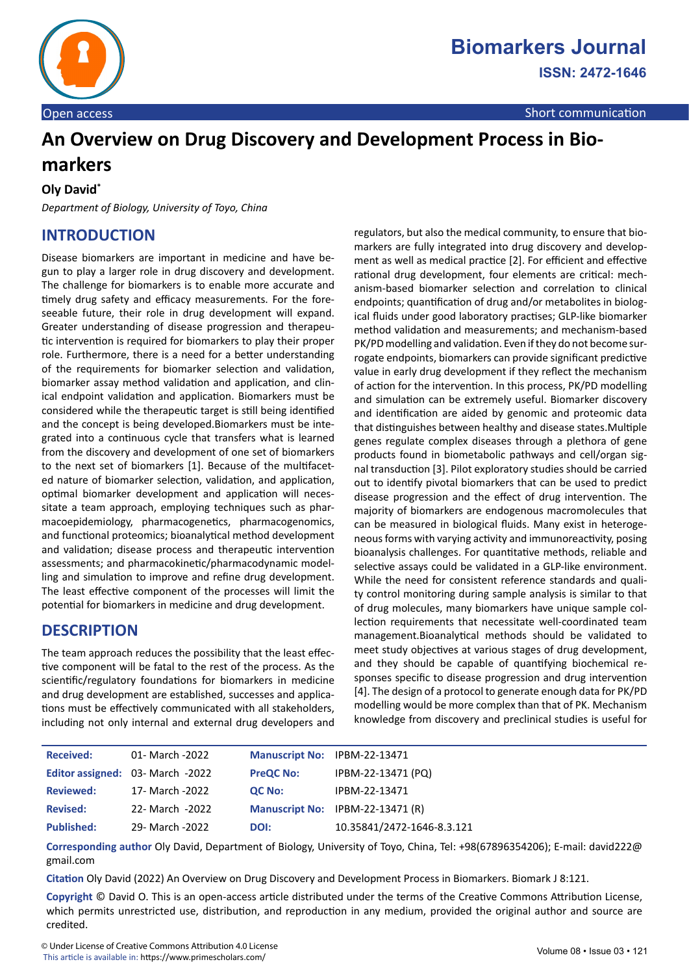

# **An Overview on Drug Discovery and Development Process in Biomarkers**

#### **Oly David\***

*Department of Biology, University of Toyo, China*

## **INTRODUCTION**

Disease biomarkers are important in medicine and have begun to play a larger role in drug discovery and development. The challenge for biomarkers is to enable more accurate and timely drug safety and efficacy measurements. For the foreseeable future, their role in drug development will expand. Greater understanding of disease progression and therapeutic intervention is required for biomarkers to play their proper role. Furthermore, there is a need for a better understanding of the requirements for biomarker selection and validation, biomarker assay method validation and application, and clinical endpoint validation and application. Biomarkers must be considered while the therapeutic target is still being identified and the concept is being developed.Biomarkers must be integrated into a continuous cycle that transfers what is learned from the discovery and development of one set of biomarkers to the next set of biomarkers [1]. Because of the multifaceted nature of biomarker selection, validation, and application, optimal biomarker development and application will necessitate a team approach, employing techniques such as pharmacoepidemiology, pharmacogenetics, pharmacogenomics, and functional proteomics; bioanalytical method development and validation; disease process and therapeutic intervention assessments; and pharmacokinetic/pharmacodynamic modelling and simulation to improve and refine drug development. The least effective component of the processes will limit the potential for biomarkers in medicine and drug development.

#### **DESCRIPTION**

The team approach reduces the possibility that the least effective component will be fatal to the rest of the process. As the scientific/regulatory foundations for biomarkers in medicine and drug development are established, successes and applications must be effectively communicated with all stakeholders, including not only internal and external drug developers and regulators, but also the medical community, to ensure that biomarkers are fully integrated into drug discovery and development as well as medical practice [2]. For efficient and effective rational drug development, four elements are critical: mechanism-based biomarker selection and correlation to clinical endpoints; quantification of drug and/or metabolites in biological fluids under good laboratory practises; GLP-like biomarker method validation and measurements; and mechanism-based PK/PD modelling and validation. Even if they do not become surrogate endpoints, biomarkers can provide significant predictive value in early drug development if they reflect the mechanism of action for the intervention. In this process, PK/PD modelling and simulation can be extremely useful. Biomarker discovery and identification are aided by genomic and proteomic data that distinguishes between healthy and disease states.Multiple genes regulate complex diseases through a plethora of gene products found in biometabolic pathways and cell/organ signal transduction [3]. Pilot exploratory studies should be carried out to identify pivotal biomarkers that can be used to predict disease progression and the effect of drug intervention. The majority of biomarkers are endogenous macromolecules that can be measured in biological fluids. Many exist in heterogeneous forms with varying activity and immunoreactivity, posing bioanalysis challenges. For quantitative methods, reliable and selective assays could be validated in a GLP-like environment. While the need for consistent reference standards and quality control monitoring during sample analysis is similar to that of drug molecules, many biomarkers have unique sample collection requirements that necessitate well-coordinated team management.Bioanalytical methods should be validated to meet study objectives at various stages of drug development, and they should be capable of quantifying biochemical responses specific to disease progression and drug intervention [4]. The design of a protocol to generate enough data for PK/PD modelling would be more complex than that of PK. Mechanism knowledge from discovery and preclinical studies is useful for

| <b>Received:</b>  | 01- March -2022                  | Manuscript No: IPBM-22-13471 |                                  |
|-------------------|----------------------------------|------------------------------|----------------------------------|
|                   | Editor assigned: 03- March -2022 | <b>PreQC No:</b>             | IPBM-22-13471 (PQ)               |
| <b>Reviewed:</b>  | 17- March -2022                  | QC No:                       | IPBM-22-13471                    |
| <b>Revised:</b>   | 22- March -2022                  |                              | Manuscript No: IPBM-22-13471 (R) |
| <b>Published:</b> | 29- March -2022                  | DOI:                         | 10.35841/2472-1646-8.3.121       |

**Corresponding author** Oly David, Department of Biology, University of Toyo, China, Tel: +98(67896354206); E-mail: david222@ gmail.com

**Citation** Oly David (2022) An Overview on Drug Discovery and Development Process in Biomarkers. Biomark J 8:121.

**Copyright** © David O. This is an open-access article distributed under the terms of the Creative Commons Attribution License, which permits unrestricted use, distribution, and reproduction in any medium, provided the original author and source are credited.